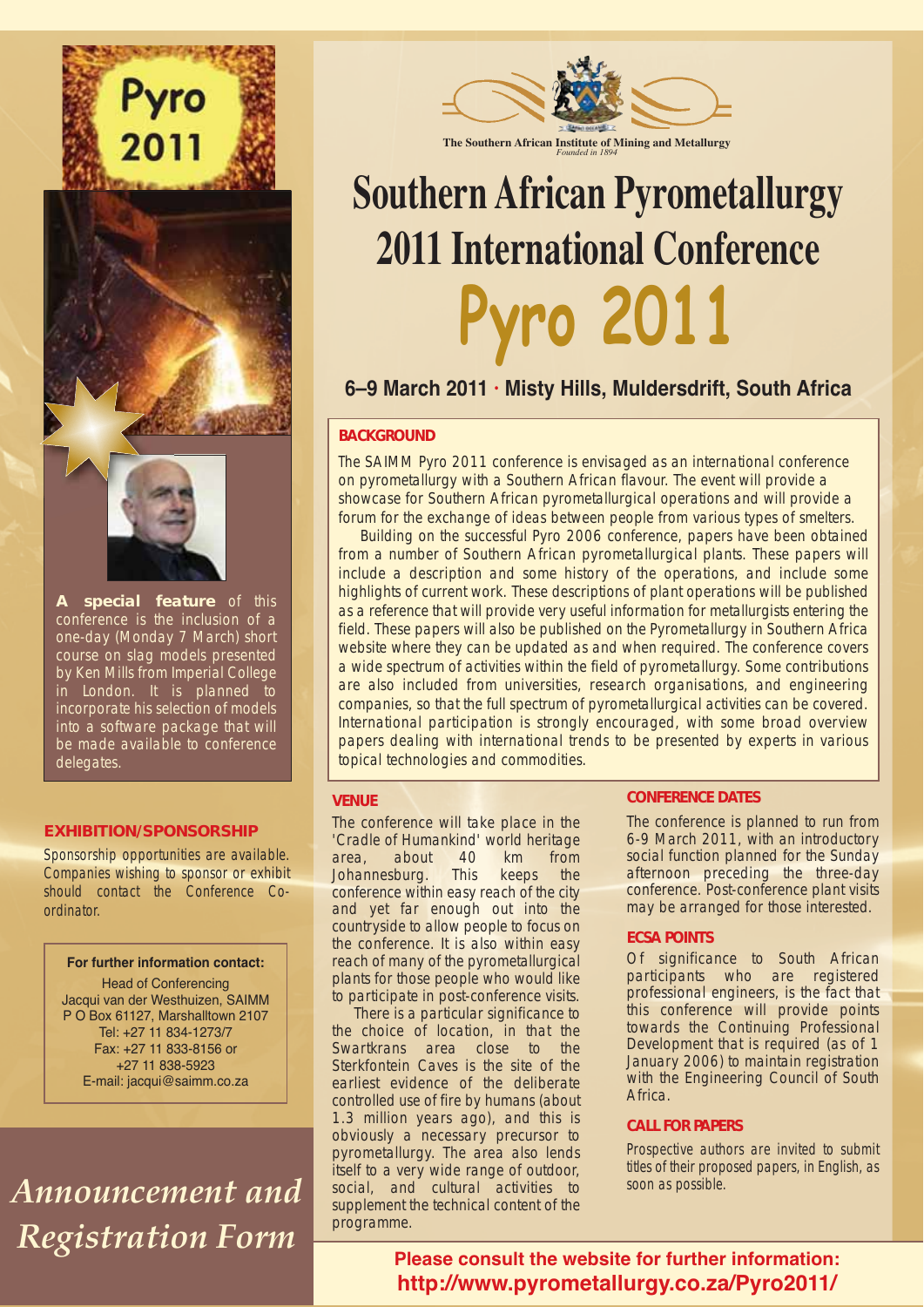

**A special feature** of this conference is the inclusion of a one-day (Monday 7 March) short course on slag models presented by Ken Mills from Imperial College in London. It is planned to incorporate his selection of models into a software package that will be made available to conference delegates.

#### **EXHIBITION/SPONSORSHIP**

Sponsorship opportunities are available. Companies wishing to sponsor or exhibit should contact the Conference Coordinator.

**For further information contact:**

Head of Conferencing Jacqui van der Westhuizen, SAIMM P O Box 61127, Marshalltown 2107 Tel: +27 11 834-1273/7 Fax: +27 11 833-8156 or +27 11 838-5923 E-mail: jacqui@saimm.co.za

# *Announcement and Registration Form*



**The Southern African Institute of Mining and Metallurgy** 

# **Southern African Pyrometallurgy 2011 International Conference Pyro 2011**

### **6–9 March 2011 · Misty Hills, Muldersdrift, South Africa**

#### **BACKGROUND**

The SAIMM Pyro 2011 conference is envisaged as an international conference on pyrometallurgy with a Southern African flavour. The event will provide a showcase for Southern African pyrometallurgical operations and will provide a forum for the exchange of ideas between people from various types of smelters.

Building on the successful Pyro 2006 conference, papers have been obtained from a number of Southern African pyrometallurgical plants. These papers will include a description and some history of the operations, and include some highlights of current work. These descriptions of plant operations will be published as a reference that will provide very useful information for metallurgists entering the field. These papers will also be published on the Pyrometallurgy in Southern Africa website where they can be updated as and when required. The conference covers a wide spectrum of activities within the field of pyrometallurgy. Some contributions are also included from universities, research organisations, and engineering companies, so that the full spectrum of pyrometallurgical activities can be covered. International participation is strongly encouraged, with some broad overview papers dealing with international trends to be presented by experts in various topical technologies and commodities.

#### **VENUE**

The conference will take place in the 'Cradle of Humankind' world heritage<br>area, about 40 km from area, about 40 km from<br>Johannesburg. This keeps the Johannesburg. This keeps the conference within easy reach of the city and yet far enough out into the countryside to allow people to focus on the conference. It is also within easy reach of many of the pyrometallurgical plants for those people who would like to participate in post-conference visits.

There is a particular significance to the choice of location, in that the Swartkrans area close to the Sterkfontein Caves is the site of the earliest evidence of the deliberate controlled use of fire by humans (about 1.3 million years ago), and this is obviously a necessary precursor to pyrometallurgy. The area also lends itself to a very wide range of outdoor, social, and cultural activities to supplement the technical content of the programme.

#### **CONFERENCE DATES**

The conference is planned to run from 6-9 March 2011, with an introductory social function planned for the Sunday afternoon preceding the three-day conference. Post-conference plant visits may be arranged for those interested.

#### **ECSA POINTS**

Of significance to South African participants who are registered professional engineers, is the fact that this conference will provide points towards the Continuing Professional Development that is required (as of 1 January 2006) to maintain registration with the Engineering Council of South **Africa** 

#### **CALL FOR PAPERS**

Prospective authors are invited to submit titles of their proposed papers, in English, as soon as possible.

**Please consult the website for further information: http://www.pyrometallurgy.co.za/Pyro2011/**